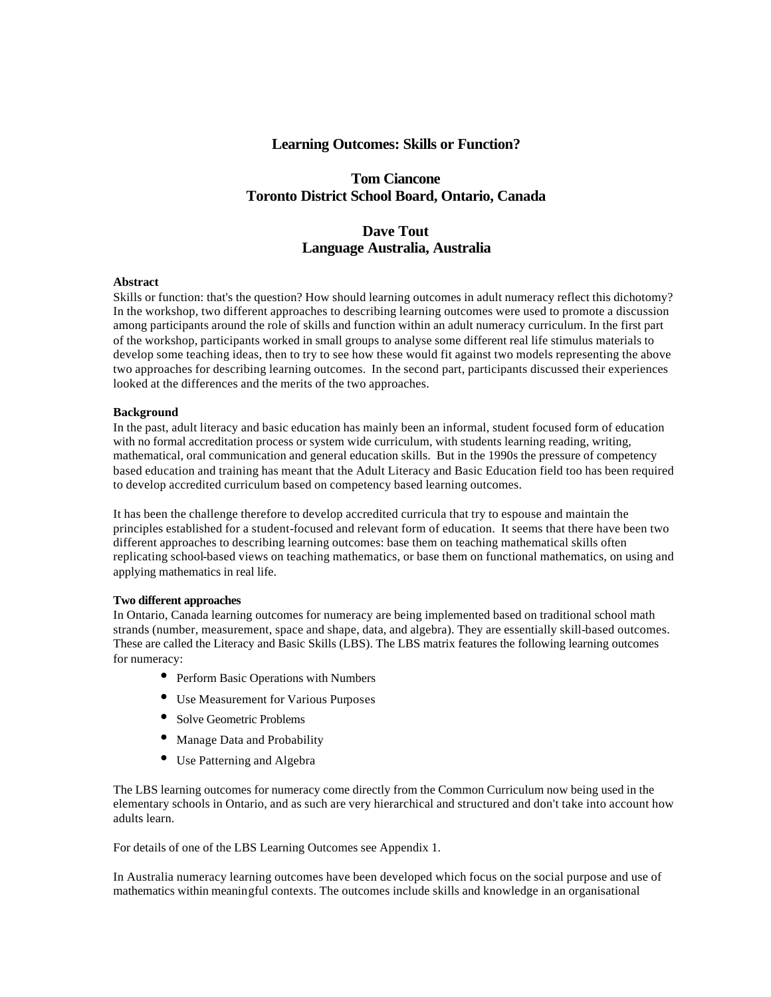# **Learning Outcomes: Skills or Function?**

# **Tom Ciancone Toronto District School Board, Ontario, Canada**

# **Dave Tout Language Australia, Australia**

# **Abstract**

Skills or function: that's the question? How should learning outcomes in adult numeracy reflect this dichotomy? In the workshop, two different approaches to describing learning outcomes were used to promote a discussion among participants around the role of skills and function within an adult numeracy curriculum. In the first part of the workshop, participants worked in small groups to analyse some different real life stimulus materials to develop some teaching ideas, then to try to see how these would fit against two models representing the above two approaches for describing learning outcomes. In the second part, participants discussed their experiences looked at the differences and the merits of the two approaches.

# **Background**

In the past, adult literacy and basic education has mainly been an informal, student focused form of education with no formal accreditation process or system wide curriculum, with students learning reading, writing, mathematical, oral communication and general education skills. But in the 1990s the pressure of competency based education and training has meant that the Adult Literacy and Basic Education field too has been required to develop accredited curriculum based on competency based learning outcomes.

It has been the challenge therefore to develop accredited curricula that try to espouse and maintain the principles established for a student-focused and relevant form of education. It seems that there have been two different approaches to describing learning outcomes: base them on teaching mathematical skills often replicating school-based views on teaching mathematics, or base them on functional mathematics, on using and applying mathematics in real life.

### **Two different approaches**

In Ontario, Canada learning outcomes for numeracy are being implemented based on traditional school math strands (number, measurement, space and shape, data, and algebra). They are essentially skill-based outcomes. These are called the Literacy and Basic Skills (LBS). The LBS matrix features the following learning outcomes for numeracy:

- Perform Basic Operations with Numbers
- Use Measurement for Various Purposes
- Solve Geometric Problems
- Manage Data and Probability
- Use Patterning and Algebra

The LBS learning outcomes for numeracy come directly from the Common Curriculum now being used in the elementary schools in Ontario, and as such are very hierarchical and structured and don't take into account how adults learn.

For details of one of the LBS Learning Outcomes see Appendix 1.

In Australia numeracy learning outcomes have been developed which focus on the social purpose and use of mathematics within meaningful contexts. The outcomes include skills and knowledge in an organisational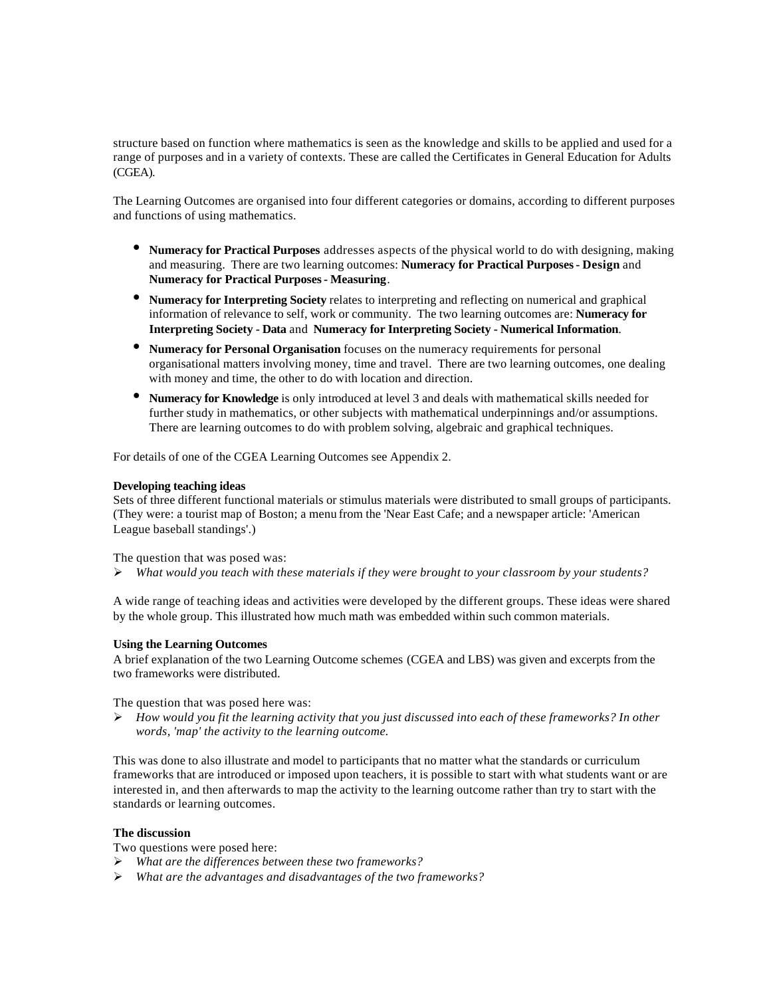structure based on function where mathematics is seen as the knowledge and skills to be applied and used for a range of purposes and in a variety of contexts. These are called the Certificates in General Education for Adults (CGEA).

The Learning Outcomes are organised into four different categories or domains, according to different purposes and functions of using mathematics.

- **Numeracy for Practical Purposes** addresses aspects of the physical world to do with designing, making and measuring. There are two learning outcomes: **Numeracy for Practical Purposes - Design** and **Numeracy for Practical Purposes - Measuring**.
- **Numeracy for Interpreting Society** relates to interpreting and reflecting on numerical and graphical information of relevance to self, work or community. The two learning outcomes are: **Numeracy for Interpreting Society - Data** and **Numeracy for Interpreting Society - Numerical Information**.
- **Numeracy for Personal Organisation** focuses on the numeracy requirements for personal organisational matters involving money, time and travel. There are two learning outcomes, one dealing with money and time, the other to do with location and direction.
- **Numeracy for Knowledge** is only introduced at level 3 and deals with mathematical skills needed for further study in mathematics, or other subjects with mathematical underpinnings and/or assumptions. There are learning outcomes to do with problem solving, algebraic and graphical techniques.

For details of one of the CGEA Learning Outcomes see Appendix 2.

# **Developing teaching ideas**

Sets of three different functional materials or stimulus materials were distributed to small groups of participants. (They were: a tourist map of Boston; a menu from the 'Near East Cafe; and a newspaper article: 'American League baseball standings'.)

The question that was posed was:

ÿ *What would you teach with these materials if they were brought to your classroom by your students?*

A wide range of teaching ideas and activities were developed by the different groups. These ideas were shared by the whole group. This illustrated how much math was embedded within such common materials.

### **Using the Learning Outcomes**

A brief explanation of the two Learning Outcome schemes (CGEA and LBS) was given and excerpts from the two frameworks were distributed.

The question that was posed here was:

ÿ *How would you fit the learning activity that you just discussed into each of these frameworks? In other words, 'map' the activity to the learning outcome.*

This was done to also illustrate and model to participants that no matter what the standards or curriculum frameworks that are introduced or imposed upon teachers, it is possible to start with what students want or are interested in, and then afterwards to map the activity to the learning outcome rather than try to start with the standards or learning outcomes.

# **The discussion**

Two questions were posed here:

- ÿ *What are the differences between these two frameworks?*
- ÿ *What are the advantages and disadvantages of the two frameworks?*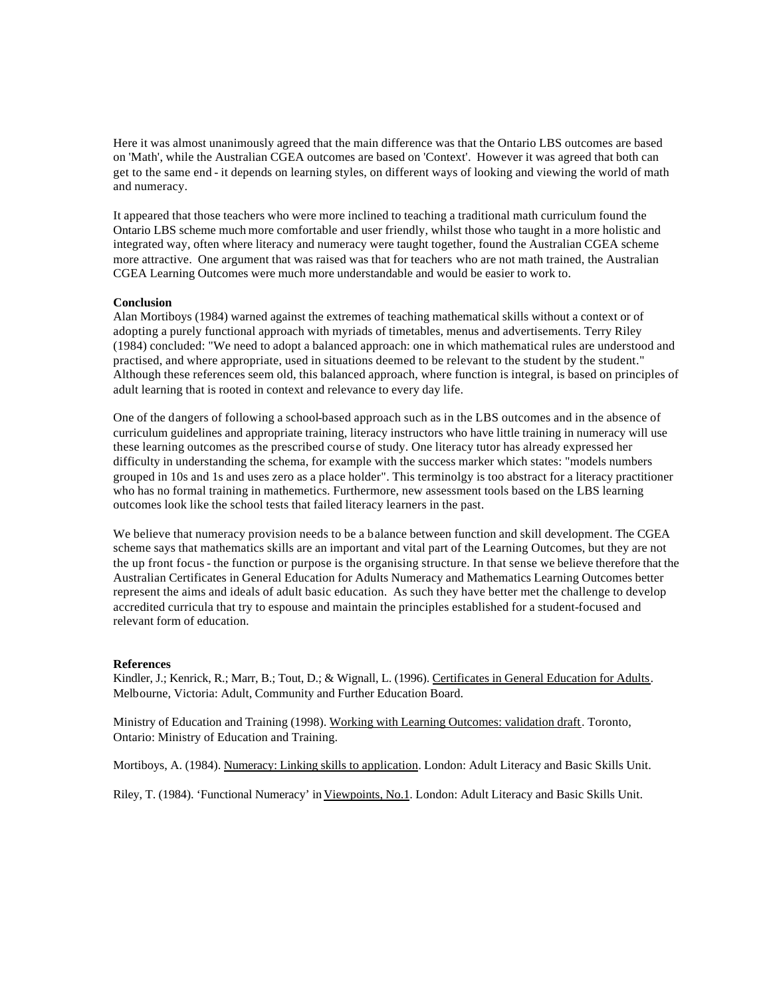Here it was almost unanimously agreed that the main difference was that the Ontario LBS outcomes are based on 'Math', while the Australian CGEA outcomes are based on 'Context'. However it was agreed that both can get to the same end - it depends on learning styles, on different ways of looking and viewing the world of math and numeracy.

It appeared that those teachers who were more inclined to teaching a traditional math curriculum found the Ontario LBS scheme much more comfortable and user friendly, whilst those who taught in a more holistic and integrated way, often where literacy and numeracy were taught together, found the Australian CGEA scheme more attractive. One argument that was raised was that for teachers who are not math trained, the Australian CGEA Learning Outcomes were much more understandable and would be easier to work to.

# **Conclusion**

Alan Mortiboys (1984) warned against the extremes of teaching mathematical skills without a context or of adopting a purely functional approach with myriads of timetables, menus and advertisements. Terry Riley (1984) concluded: "We need to adopt a balanced approach: one in which mathematical rules are understood and practised, and where appropriate, used in situations deemed to be relevant to the student by the student." Although these references seem old, this balanced approach, where function is integral, is based on principles of adult learning that is rooted in context and relevance to every day life.

One of the dangers of following a school-based approach such as in the LBS outcomes and in the absence of curriculum guidelines and appropriate training, literacy instructors who have little training in numeracy will use these learning outcomes as the prescribed course of study. One literacy tutor has already expressed her difficulty in understanding the schema, for example with the success marker which states: "models numbers grouped in 10s and 1s and uses zero as a place holder". This terminolgy is too abstract for a literacy practitioner who has no formal training in mathemetics. Furthermore, new assessment tools based on the LBS learning outcomes look like the school tests that failed literacy learners in the past.

We believe that numeracy provision needs to be a balance between function and skill development. The CGEA scheme says that mathematics skills are an important and vital part of the Learning Outcomes, but they are not the up front focus - the function or purpose is the organising structure. In that sense we believe therefore that the Australian Certificates in General Education for Adults Numeracy and Mathematics Learning Outcomes better represent the aims and ideals of adult basic education. As such they have better met the challenge to develop accredited curricula that try to espouse and maintain the principles established for a student-focused and relevant form of education.

### **References**

Kindler, J.; Kenrick, R.; Marr, B.; Tout, D.; & Wignall, L. (1996). Certificates in General Education for Adults. Melbourne, Victoria: Adult, Community and Further Education Board.

Ministry of Education and Training (1998). Working with Learning Outcomes: validation draft. Toronto, Ontario: Ministry of Education and Training.

Mortiboys, A. (1984). Numeracy: Linking skills to application. London: Adult Literacy and Basic Skills Unit.

Riley, T. (1984). 'Functional Numeracy' in Viewpoints, No.1. London: Adult Literacy and Basic Skills Unit.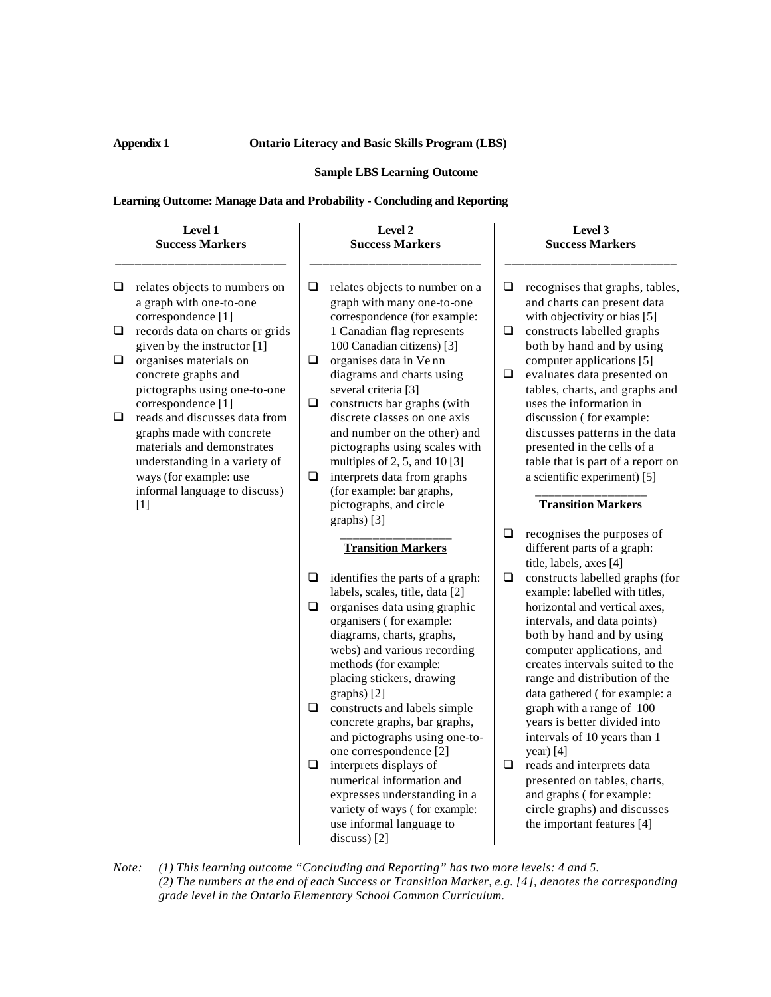# **Appendix 1 Ontario Literacy and Basic Skills Program (LBS)**

### **Sample LBS Learning Outcome**

# **Learning Outcome: Manage Data and Probability - Concluding and Reporting**

#### **Level 1 Success Markers** \_\_\_\_\_\_\_\_\_\_\_\_\_\_\_\_\_\_\_\_\_\_\_\_\_\_  $\Box$  relates objects to numbers on a graph with one-to-one correspondence [1]  $\Box$  records data on charts or grids given by the instructor [1]  $\Box$  organises materials on concrete graphs and pictographs using one-to-one correspondence [1]  $\Box$  reads and discusses data from graphs made with concrete materials and demonstrates understanding in a variety of ways (for example: use informal language to discuss) [1] **Level 2 Success Markers** \_\_\_\_\_\_\_\_\_\_\_\_\_\_\_\_\_\_\_\_\_\_\_\_\_\_  $\Box$  relates objects to number on a graph with many one-to-one correspondence (for example: 1 Canadian flag represents 100 Canadian citizens) [3]  $\Box$  organises data in Ve nn diagrams and charts using several criteria [3]  $\Box$  constructs bar graphs (with discrete classes on one axis and number on the other) and pictographs using scales with multiples of 2, 5, and 10 [3]  $\Box$  interprets data from graphs (for example: bar graphs, pictographs, and circle graphs) [3] \_\_\_\_\_\_\_\_\_\_\_\_\_\_\_\_\_ **Transition Markers**  $\Box$  identifies the parts of a graph: labels, scales, title, data [2]  $\Box$  organises data using graphic organisers ( for example: diagrams, charts, graphs, webs) and various recording methods (for example: placing stickers, drawing graphs) [2]  $\Box$  constructs and labels simple concrete graphs, bar graphs, and pictographs using one-toone correspondence [2]  $\Box$  interprets displays of numerical information and expresses understanding in a variety of ways ( for example: use informal language to **Level 3 Success Markers** \_\_\_\_\_\_\_\_\_\_\_\_\_\_\_\_\_\_\_\_\_\_\_\_\_\_  $\Box$  recognises that graphs, tables, and charts can present data with objectivity or bias [5]  $\Box$  constructs labelled graphs both by hand and by using computer applications [5]  $\Box$  evaluates data presented on tables, charts, and graphs and uses the information in discussion ( for example: discusses patterns in the data presented in the cells of a table that is part of a report on a scientific experiment) [5] \_\_\_\_\_\_\_\_\_\_\_\_\_\_\_\_\_ **Transition Markers**  $\Box$  recognises the purposes of different parts of a graph: title, labels, axes [4]  $\Box$  constructs labelled graphs (for example: labelled with titles, horizontal and vertical axes, intervals, and data points) both by hand and by using computer applications, and creates intervals suited to the range and distribution of the data gathered ( for example: a graph with a range of 100 years is better divided into intervals of 10 years than 1 year) [4]  $\Box$  reads and interprets data presented on tables, charts, and graphs ( for example: circle graphs) and discusses the important features [4]

*Note: (1) This learning outcome "Concluding and Reporting" has two more levels: 4 and 5. (2) The numbers at the end of each Success or Transition Marker, e.g. [4], denotes the corresponding grade level in the Ontario Elementary School Common Curriculum.*

discuss) [2]